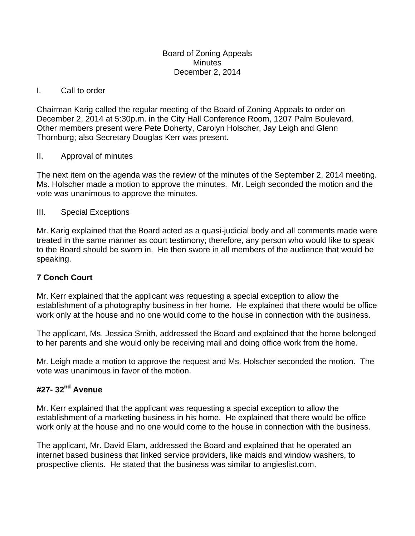#### Board of Zoning Appeals **Minutes** December 2, 2014

### I. Call to order

Chairman Karig called the regular meeting of the Board of Zoning Appeals to order on December 2, 2014 at 5:30p.m. in the City Hall Conference Room, 1207 Palm Boulevard. Other members present were Pete Doherty, Carolyn Holscher, Jay Leigh and Glenn Thornburg; also Secretary Douglas Kerr was present.

## II. Approval of minutes

The next item on the agenda was the review of the minutes of the September 2, 2014 meeting. Ms. Holscher made a motion to approve the minutes. Mr. Leigh seconded the motion and the vote was unanimous to approve the minutes.

## III. Special Exceptions

Mr. Karig explained that the Board acted as a quasi-judicial body and all comments made were treated in the same manner as court testimony; therefore, any person who would like to speak to the Board should be sworn in. He then swore in all members of the audience that would be speaking.

# **7 Conch Court**

Mr. Kerr explained that the applicant was requesting a special exception to allow the establishment of a photography business in her home. He explained that there would be office work only at the house and no one would come to the house in connection with the business.

The applicant, Ms. Jessica Smith, addressed the Board and explained that the home belonged to her parents and she would only be receiving mail and doing office work from the home.

Mr. Leigh made a motion to approve the request and Ms. Holscher seconded the motion. The vote was unanimous in favor of the motion.

# **#27- 32nd Avenue**

Mr. Kerr explained that the applicant was requesting a special exception to allow the establishment of a marketing business in his home. He explained that there would be office work only at the house and no one would come to the house in connection with the business.

The applicant, Mr. David Elam, addressed the Board and explained that he operated an internet based business that linked service providers, like maids and window washers, to prospective clients. He stated that the business was similar to angieslist.com.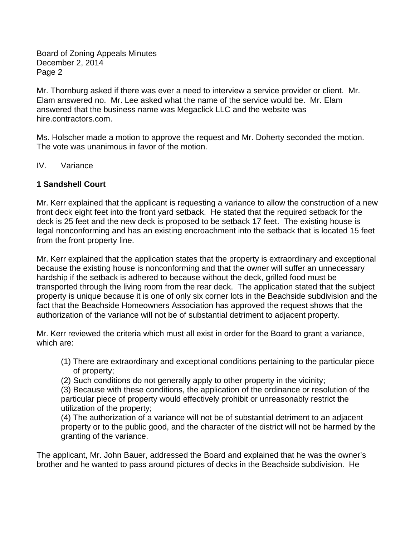Board of Zoning Appeals Minutes December 2, 2014 Page 2

Mr. Thornburg asked if there was ever a need to interview a service provider or client. Mr. Elam answered no. Mr. Lee asked what the name of the service would be. Mr. Elam answered that the business name was Megaclick LLC and the website was hire.contractors.com.

Ms. Holscher made a motion to approve the request and Mr. Doherty seconded the motion. The vote was unanimous in favor of the motion.

### IV. Variance

### **1 Sandshell Court**

Mr. Kerr explained that the applicant is requesting a variance to allow the construction of a new front deck eight feet into the front yard setback. He stated that the required setback for the deck is 25 feet and the new deck is proposed to be setback 17 feet. The existing house is legal nonconforming and has an existing encroachment into the setback that is located 15 feet from the front property line.

Mr. Kerr explained that the application states that the property is extraordinary and exceptional because the existing house is nonconforming and that the owner will suffer an unnecessary hardship if the setback is adhered to because without the deck, grilled food must be transported through the living room from the rear deck. The application stated that the subject property is unique because it is one of only six corner lots in the Beachside subdivision and the fact that the Beachside Homeowners Association has approved the request shows that the authorization of the variance will not be of substantial detriment to adjacent property.

Mr. Kerr reviewed the criteria which must all exist in order for the Board to grant a variance, which are:

- (1) There are extraordinary and exceptional conditions pertaining to the particular piece of property;
- (2) Such conditions do not generally apply to other property in the vicinity;

(3) Because with these conditions, the application of the ordinance or resolution of the particular piece of property would effectively prohibit or unreasonably restrict the utilization of the property;

(4) The authorization of a variance will not be of substantial detriment to an adjacent property or to the public good, and the character of the district will not be harmed by the granting of the variance.

The applicant, Mr. John Bauer, addressed the Board and explained that he was the owner's brother and he wanted to pass around pictures of decks in the Beachside subdivision. He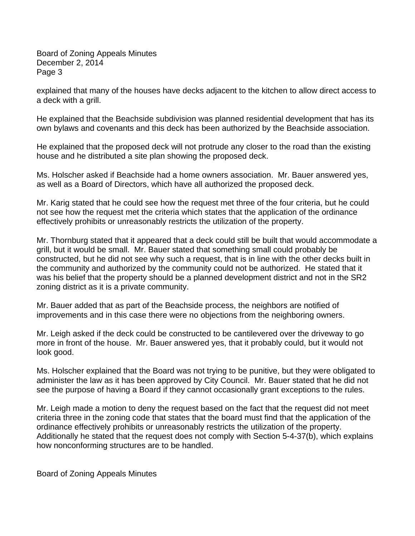Board of Zoning Appeals Minutes December 2, 2014 Page 3

explained that many of the houses have decks adjacent to the kitchen to allow direct access to a deck with a grill.

He explained that the Beachside subdivision was planned residential development that has its own bylaws and covenants and this deck has been authorized by the Beachside association.

He explained that the proposed deck will not protrude any closer to the road than the existing house and he distributed a site plan showing the proposed deck.

Ms. Holscher asked if Beachside had a home owners association. Mr. Bauer answered yes, as well as a Board of Directors, which have all authorized the proposed deck.

Mr. Karig stated that he could see how the request met three of the four criteria, but he could not see how the request met the criteria which states that the application of the ordinance effectively prohibits or unreasonably restricts the utilization of the property.

Mr. Thornburg stated that it appeared that a deck could still be built that would accommodate a grill, but it would be small. Mr. Bauer stated that something small could probably be constructed, but he did not see why such a request, that is in line with the other decks built in the community and authorized by the community could not be authorized. He stated that it was his belief that the property should be a planned development district and not in the SR2 zoning district as it is a private community.

Mr. Bauer added that as part of the Beachside process, the neighbors are notified of improvements and in this case there were no objections from the neighboring owners.

Mr. Leigh asked if the deck could be constructed to be cantilevered over the driveway to go more in front of the house. Mr. Bauer answered yes, that it probably could, but it would not look good.

Ms. Holscher explained that the Board was not trying to be punitive, but they were obligated to administer the law as it has been approved by City Council. Mr. Bauer stated that he did not see the purpose of having a Board if they cannot occasionally grant exceptions to the rules.

Mr. Leigh made a motion to deny the request based on the fact that the request did not meet criteria three in the zoning code that states that the board must find that the application of the ordinance effectively prohibits or unreasonably restricts the utilization of the property. Additionally he stated that the request does not comply with Section 5-4-37(b), which explains how nonconforming structures are to be handled.

Board of Zoning Appeals Minutes